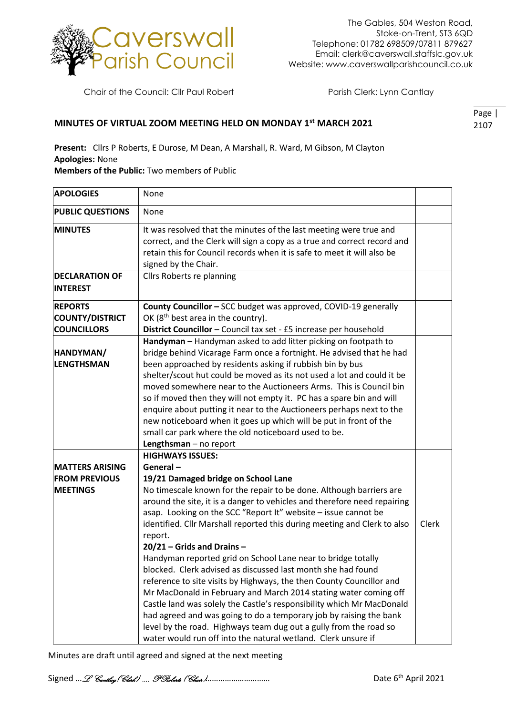

Chair of the Council: Cllr Paul Robert Parish Clerk: Lynn Cantlay

## **MINUTES OF VIRTUAL ZOOM MEETING HELD ON MONDAY 1st MARCH 2021**

Page | 2107

**Present:** Cllrs P Roberts, E Durose, M Dean, A Marshall, R. Ward, M Gibson, M Clayton **Apologies:** None

**Members of the Public:** Two members of Public

| <b>APOLOGIES</b>                                                  | None                                                                                                                                                                                                                                                                                                                                                                                                                                                                                                                                                                                                                                                                                                                                                                                                                                                                                                                                                                                    |       |
|-------------------------------------------------------------------|-----------------------------------------------------------------------------------------------------------------------------------------------------------------------------------------------------------------------------------------------------------------------------------------------------------------------------------------------------------------------------------------------------------------------------------------------------------------------------------------------------------------------------------------------------------------------------------------------------------------------------------------------------------------------------------------------------------------------------------------------------------------------------------------------------------------------------------------------------------------------------------------------------------------------------------------------------------------------------------------|-------|
| <b>PUBLIC QUESTIONS</b>                                           | None                                                                                                                                                                                                                                                                                                                                                                                                                                                                                                                                                                                                                                                                                                                                                                                                                                                                                                                                                                                    |       |
| <b>MINUTES</b>                                                    | It was resolved that the minutes of the last meeting were true and<br>correct, and the Clerk will sign a copy as a true and correct record and<br>retain this for Council records when it is safe to meet it will also be<br>signed by the Chair.                                                                                                                                                                                                                                                                                                                                                                                                                                                                                                                                                                                                                                                                                                                                       |       |
| <b>DECLARATION OF</b><br><b>INTEREST</b>                          | Cllrs Roberts re planning                                                                                                                                                                                                                                                                                                                                                                                                                                                                                                                                                                                                                                                                                                                                                                                                                                                                                                                                                               |       |
| <b>REPORTS</b><br><b>COUNTY/DISTRICT</b><br><b>COUNCILLORS</b>    | County Councillor - SCC budget was approved, COVID-19 generally<br>OK (8 <sup>th</sup> best area in the country).<br>District Councillor - Council tax set - £5 increase per household                                                                                                                                                                                                                                                                                                                                                                                                                                                                                                                                                                                                                                                                                                                                                                                                  |       |
| HANDYMAN/<br><b>LENGTHSMAN</b>                                    | Handyman - Handyman asked to add litter picking on footpath to<br>bridge behind Vicarage Farm once a fortnight. He advised that he had<br>been approached by residents asking if rubbish bin by bus<br>shelter/scout hut could be moved as its not used a lot and could it be<br>moved somewhere near to the Auctioneers Arms. This is Council bin<br>so if moved then they will not empty it. PC has a spare bin and will<br>enquire about putting it near to the Auctioneers perhaps next to the<br>new noticeboard when it goes up which will be put in front of the<br>small car park where the old noticeboard used to be.<br>Lengthsman - no report                                                                                                                                                                                                                                                                                                                               |       |
| <b>MATTERS ARISING</b><br><b>FROM PREVIOUS</b><br><b>MEETINGS</b> | <b>HIGHWAYS ISSUES:</b><br>General-<br>19/21 Damaged bridge on School Lane<br>No timescale known for the repair to be done. Although barriers are<br>around the site, it is a danger to vehicles and therefore need repairing<br>asap. Looking on the SCC "Report It" website - issue cannot be<br>identified. Cllr Marshall reported this during meeting and Clerk to also<br>report.<br>$20/21$ – Grids and Drains –<br>Handyman reported grid on School Lane near to bridge totally<br>blocked. Clerk advised as discussed last month she had found<br>reference to site visits by Highways, the then County Councillor and<br>Mr MacDonald in February and March 2014 stating water coming off<br>Castle land was solely the Castle's responsibility which Mr MacDonald<br>had agreed and was going to do a temporary job by raising the bank<br>level by the road. Highways team dug out a gully from the road so<br>water would run off into the natural wetland. Clerk unsure if | Clerk |

Minutes are draft until agreed and signed at the next meeting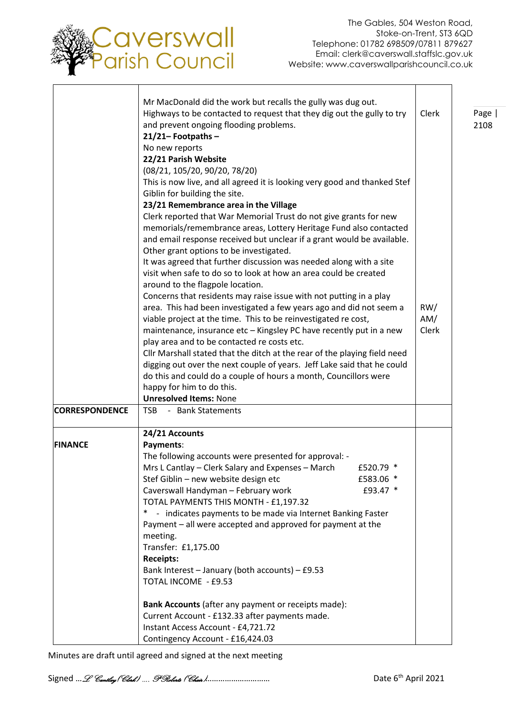

Page | 2108

٦

┯

|                       | Mr MacDonald did the work but recalls the gully was dug out.<br>Highways to be contacted to request that they dig out the gully to try<br>and prevent ongoing flooding problems.<br>$21/21 -$ Footpaths -<br>No new reports | Clerk |
|-----------------------|-----------------------------------------------------------------------------------------------------------------------------------------------------------------------------------------------------------------------------|-------|
|                       | 22/21 Parish Website                                                                                                                                                                                                        |       |
|                       | (08/21, 105/20, 90/20, 78/20)                                                                                                                                                                                               |       |
|                       | This is now live, and all agreed it is looking very good and thanked Stef<br>Giblin for building the site.                                                                                                                  |       |
|                       | 23/21 Remembrance area in the Village                                                                                                                                                                                       |       |
|                       | Clerk reported that War Memorial Trust do not give grants for new                                                                                                                                                           |       |
|                       | memorials/remembrance areas, Lottery Heritage Fund also contacted                                                                                                                                                           |       |
|                       | and email response received but unclear if a grant would be available.                                                                                                                                                      |       |
|                       | Other grant options to be investigated.                                                                                                                                                                                     |       |
|                       | It was agreed that further discussion was needed along with a site<br>visit when safe to do so to look at how an area could be created                                                                                      |       |
|                       | around to the flagpole location.                                                                                                                                                                                            |       |
|                       | Concerns that residents may raise issue with not putting in a play                                                                                                                                                          |       |
|                       | area. This had been investigated a few years ago and did not seem a                                                                                                                                                         | RW/   |
|                       | viable project at the time. This to be reinvestigated re cost,                                                                                                                                                              | AM/   |
|                       | maintenance, insurance etc - Kingsley PC have recently put in a new                                                                                                                                                         | Clerk |
|                       | play area and to be contacted re costs etc.                                                                                                                                                                                 |       |
|                       | Cllr Marshall stated that the ditch at the rear of the playing field need                                                                                                                                                   |       |
|                       | digging out over the next couple of years. Jeff Lake said that he could                                                                                                                                                     |       |
|                       | do this and could do a couple of hours a month, Councillors were                                                                                                                                                            |       |
|                       | happy for him to do this.<br><b>Unresolved Items: None</b>                                                                                                                                                                  |       |
| <b>CORRESPONDENCE</b> | - Bank Statements<br><b>TSB</b>                                                                                                                                                                                             |       |
|                       |                                                                                                                                                                                                                             |       |
|                       | 24/21 Accounts                                                                                                                                                                                                              |       |
| <b>FINANCE</b>        | Payments:                                                                                                                                                                                                                   |       |
|                       | The following accounts were presented for approval: -                                                                                                                                                                       |       |
|                       | Mrs L Cantlay - Clerk Salary and Expenses - March<br>£520.79 *                                                                                                                                                              |       |
|                       | Stef Giblin - new website design etc<br>£583.06 *                                                                                                                                                                           |       |
|                       | Caverswall Handyman - February work<br>£93.47 *                                                                                                                                                                             |       |
|                       | TOTAL PAYMENTS THIS MONTH - £1,197.32<br>- indicates payments to be made via Internet Banking Faster<br>$*$                                                                                                                 |       |
|                       | Payment - all were accepted and approved for payment at the                                                                                                                                                                 |       |
|                       | meeting.                                                                                                                                                                                                                    |       |
|                       | Transfer: £1,175.00                                                                                                                                                                                                         |       |
|                       | <b>Receipts:</b>                                                                                                                                                                                                            |       |
|                       | Bank Interest - January (both accounts) - £9.53                                                                                                                                                                             |       |
|                       | TOTAL INCOME - £9.53                                                                                                                                                                                                        |       |
|                       |                                                                                                                                                                                                                             |       |
|                       | Bank Accounts (after any payment or receipts made):                                                                                                                                                                         |       |
|                       | Current Account - £132.33 after payments made.                                                                                                                                                                              |       |
|                       | Instant Access Account - £4,721.72                                                                                                                                                                                          |       |
|                       | Contingency Account - £16,424.03                                                                                                                                                                                            |       |

Minutes are draft until agreed and signed at the next meeting